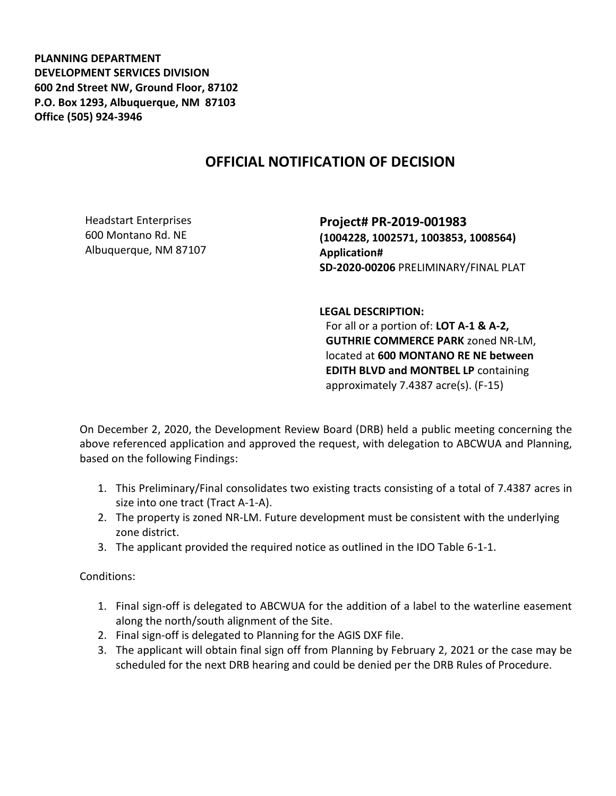**PLANNING DEPARTMENT DEVELOPMENT SERVICES DIVISION 600 2nd Street NW, Ground Floor, 87102 P.O. Box 1293, Albuquerque, NM 87103 Office (505) 924-3946** 

## **OFFICIAL NOTIFICATION OF DECISION**

Headstart Enterprises 600 Montano Rd. NE Albuquerque, NM 87107

**Project# PR-2019-001983 (1004228, 1002571, 1003853, 1008564) Application# SD-2020-00206** PRELIMINARY/FINAL PLAT

**LEGAL DESCRIPTION:**

For all or a portion of: **LOT A-1 & A-2, GUTHRIE COMMERCE PARK** zoned NR-LM, located at **600 MONTANO RE NE between EDITH BLVD and MONTBEL LP** containing approximately 7.4387 acre(s). (F-15)

On December 2, 2020, the Development Review Board (DRB) held a public meeting concerning the above referenced application and approved the request, with delegation to ABCWUA and Planning, based on the following Findings:

- 1. This Preliminary/Final consolidates two existing tracts consisting of a total of 7.4387 acres in size into one tract (Tract A-1-A).
- 2. The property is zoned NR-LM. Future development must be consistent with the underlying zone district.
- 3. The applicant provided the required notice as outlined in the IDO Table 6-1-1.

Conditions:

- 1. Final sign-off is delegated to ABCWUA for the addition of a label to the waterline easement along the north/south alignment of the Site.
- 2. Final sign-off is delegated to Planning for the AGIS DXF file.
- 3. The applicant will obtain final sign off from Planning by February 2, 2021 or the case may be scheduled for the next DRB hearing and could be denied per the DRB Rules of Procedure.